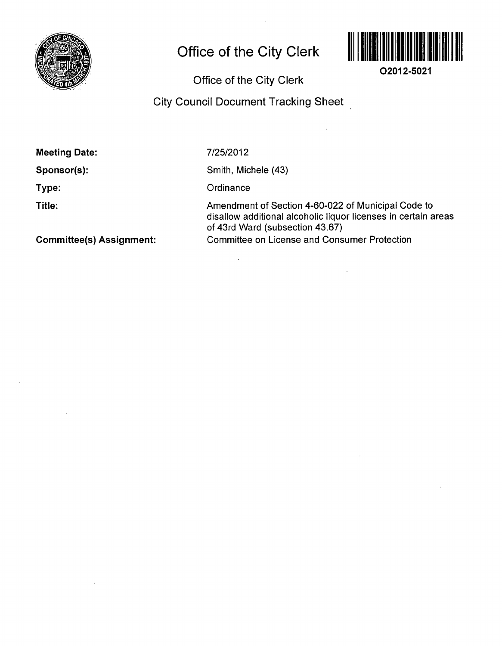

# **Office of the City Clerk**



**02012-5021** 

Office of the City Clerk

## City Council Document Tracking Sheet

Sponsor(s):

Type:

Title:

7/25/2012

Smith, Michele (43)

**Ordinance** 

Amendment of Section 4-60-022 of Municipal Code to disallow additional alcoholic liquor licenses in certain areas of 43rd Ward (subsection 43.67) Committee on License and Consumer Protection

 $\sim$ 

 $\ddot{\phantom{a}}$ 

Committee(s) Assignment: